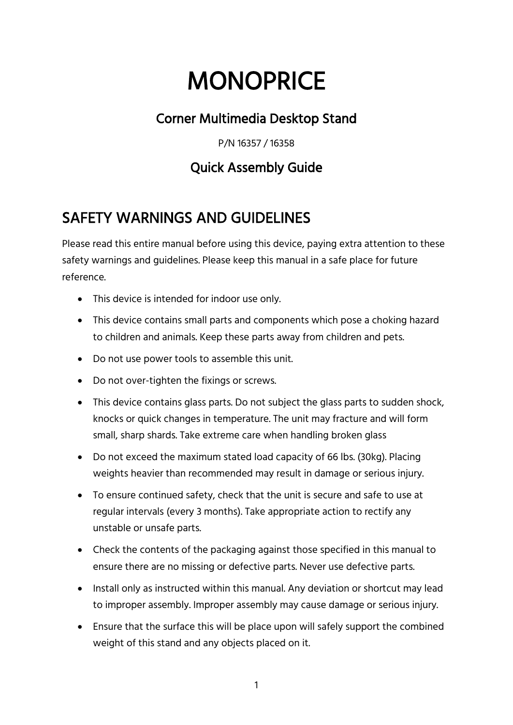# **MONOPRICE**

#### Corner Multimedia Desktop Stand

P/N 16357 / 16358

#### Quick Assembly Guide

## SAFETY WARNINGS AND GUIDELINES

Please read this entire manual before using this device, paying extra attention to these safety warnings and guidelines. Please keep this manual in a safe place for future reference.

- This device is intended for indoor use only.
- This device contains small parts and components which pose a choking hazard to children and animals. Keep these parts away from children and pets.
- Do not use power tools to assemble this unit.
- Do not over-tighten the fixings or screws.
- This device contains glass parts. Do not subject the glass parts to sudden shock, knocks or quick changes in temperature. The unit may fracture and will form small, sharp shards. Take extreme care when handling broken glass
- Do not exceed the maximum stated load capacity of 66 lbs. (30kg). Placing weights heavier than recommended may result in damage or serious injury.
- To ensure continued safety, check that the unit is secure and safe to use at regular intervals (every 3 months). Take appropriate action to rectify any unstable or unsafe parts.
- Check the contents of the packaging against those specified in this manual to ensure there are no missing or defective parts. Never use defective parts.
- Install only as instructed within this manual. Any deviation or shortcut may lead to improper assembly. Improper assembly may cause damage or serious injury.
- Ensure that the surface this will be place upon will safely support the combined weight of this stand and any objects placed on it.